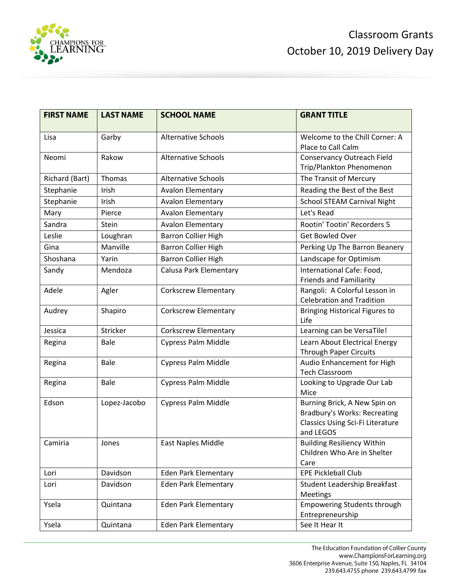

| <b>FIRST NAME</b> | <b>LAST NAME</b> | <b>SCHOOL NAME</b>          | <b>GRANT TITLE</b>                                                                                                          |
|-------------------|------------------|-----------------------------|-----------------------------------------------------------------------------------------------------------------------------|
| Lisa              | Garby            | <b>Alternative Schools</b>  | Welcome to the Chill Corner: A<br>Place to Call Calm                                                                        |
| Neomi             | Rakow            | <b>Alternative Schools</b>  | Conservancy Outreach Field<br>Trip/Plankton Phenomenon                                                                      |
| Richard (Bart)    | Thomas           | <b>Alternative Schools</b>  | The Transit of Mercury                                                                                                      |
| Stephanie         | Irish            | <b>Avalon Elementary</b>    | Reading the Best of the Best                                                                                                |
| Stephanie         | Irish            | <b>Avalon Elementary</b>    | <b>School STEAM Carnival Night</b>                                                                                          |
| Mary              | Pierce           | <b>Avalon Elementary</b>    | Let's Read                                                                                                                  |
| Sandra            | <b>Stein</b>     | <b>Avalon Elementary</b>    | Rootin' Tootin' Recorders 5                                                                                                 |
| Leslie            | Loughran         | <b>Barron Collier High</b>  | Get Bowled Over                                                                                                             |
| Gina              | Manville         | <b>Barron Collier High</b>  | Perking Up The Barron Beanery                                                                                               |
| Shoshana          | Yarin            | <b>Barron Collier High</b>  | Landscape for Optimism                                                                                                      |
| Sandy             | Mendoza          | Calusa Park Elementary      | International Cafe: Food,<br><b>Friends and Familiarity</b>                                                                 |
| Adele             | Agler            | <b>Corkscrew Elementary</b> | Rangoli: A Colorful Lesson in<br><b>Celebration and Tradition</b>                                                           |
| Audrey            | Shapiro          | <b>Corkscrew Elementary</b> | <b>Bringing Historical Figures to</b><br>Life                                                                               |
| Jessica           | Stricker         | Corkscrew Elementary        | Learning can be VersaTile!                                                                                                  |
| Regina            | Bale             | <b>Cypress Palm Middle</b>  | Learn About Electrical Energy<br><b>Through Paper Circuits</b>                                                              |
| Regina            | Bale             | Cypress Palm Middle         | Audio Enhancement for High<br><b>Tech Classroom</b>                                                                         |
| Regina            | Bale             | <b>Cypress Palm Middle</b>  | Looking to Upgrade Our Lab<br>Mice                                                                                          |
| Edson             | Lopez-Jacobo     | <b>Cypress Palm Middle</b>  | Burning Brick, A New Spin on<br><b>Bradbury's Works: Recreating</b><br><b>Classics Using Sci-Fi Literature</b><br>and LEGOS |
| Camiria           | Jones            | East Naples Middle          | <b>Building Resiliency Within</b><br>Children Who Are in Shelter<br>Care                                                    |
| Lori              | Davidson         | <b>Eden Park Elementary</b> | <b>EPE Pickleball Club</b>                                                                                                  |
| Lori              | Davidson         | <b>Eden Park Elementary</b> | Student Leadership Breakfast<br><b>Meetings</b>                                                                             |
| Ysela             | Quintana         | <b>Eden Park Elementary</b> | <b>Empowering Students through</b><br>Entrepreneurship                                                                      |
| Ysela             | Quintana         | <b>Eden Park Elementary</b> | See It Hear It                                                                                                              |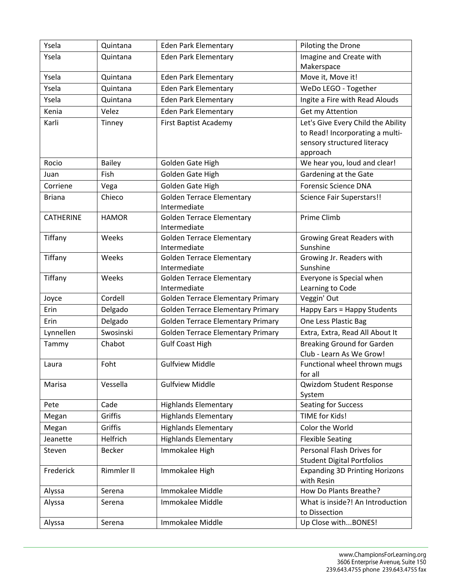| Ysela<br><b>Eden Park Elementary</b><br>Imagine and Create with<br>Quintana<br>Makerspace<br>Move it, Move it!<br>Ysela<br><b>Eden Park Elementary</b><br>Quintana<br>Ysela<br>WeDo LEGO - Together<br>Quintana<br><b>Eden Park Elementary</b><br>Ingite a Fire with Read Alouds<br>Ysela<br>Quintana<br><b>Eden Park Elementary</b><br>Kenia<br>Velez<br><b>Eden Park Elementary</b><br>Get my Attention<br>Let's Give Every Child the Ability<br>Karli<br><b>First Baptist Academy</b><br>Tinney<br>to Read! Incorporating a multi-<br>sensory structured literacy<br>approach<br><b>Bailey</b><br>Golden Gate High<br>We hear you, loud and clear!<br>Rocio<br>Golden Gate High<br>Gardening at the Gate<br>Fish<br>Juan<br><b>Forensic Science DNA</b><br>Golden Gate High<br>Corriene<br>Vega<br>Chieco<br><b>Golden Terrace Elementary</b><br><b>Briana</b><br><b>Science Fair Superstars!!</b><br>Intermediate<br>Prime Climb<br><b>CATHERINE</b><br><b>HAMOR</b><br><b>Golden Terrace Elementary</b><br>Intermediate<br><b>Golden Terrace Elementary</b><br>Growing Great Readers with<br>Tiffany<br>Weeks<br>Sunshine<br>Intermediate<br>Tiffany<br>Weeks<br><b>Golden Terrace Elementary</b><br>Growing Jr. Readers with<br>Sunshine<br>Intermediate<br>Tiffany<br><b>Golden Terrace Elementary</b><br>Everyone is Special when<br>Weeks<br>Intermediate<br>Learning to Code<br>Veggin' Out<br>Cordell<br><b>Golden Terrace Elementary Primary</b><br>Joyce<br>Erin<br>Delgado<br><b>Golden Terrace Elementary Primary</b><br>Happy Ears = Happy Students<br>Erin<br>Delgado<br><b>Golden Terrace Elementary Primary</b><br>One Less Plastic Bag<br>Swosinski<br>Lynnellen<br><b>Golden Terrace Elementary Primary</b><br>Extra, Extra, Read All About It<br><b>Breaking Ground for Garden</b><br>Chabot<br><b>Gulf Coast High</b><br>Tammy<br>Club - Learn As We Grow!<br>Foht<br><b>Gulfview Middle</b><br>Functional wheel thrown mugs<br>Laura<br>for all<br><b>Gulfview Middle</b><br>Vessella<br>Qwizdom Student Response<br>Marisa<br>System<br>Seating for Success<br>Cade<br><b>Highlands Elementary</b><br>Pete<br>TIME for Kids!<br>Griffis<br><b>Highlands Elementary</b><br>Megan<br>Griffis<br><b>Highlands Elementary</b><br>Color the World<br>Megan<br>Helfrich<br><b>Highlands Elementary</b><br>Jeanette<br><b>Flexible Seating</b><br>Personal Flash Drives for<br>Immokalee High<br><b>Becker</b><br>Steven<br><b>Student Digital Portfolios</b><br>Rimmler II<br><b>Expanding 3D Printing Horizons</b><br>Frederick<br>Immokalee High<br>with Resin<br>Immokalee Middle<br>How Do Plants Breathe?<br>Alyssa<br>Serena<br>Immokalee Middle<br>What is inside?! An Introduction<br>Alyssa<br>Serena<br>to Dissection<br>Up Close withBONES!<br>Immokalee Middle<br>Alyssa<br>Serena | Ysela | Quintana | <b>Eden Park Elementary</b> | Piloting the Drone |
|-------------------------------------------------------------------------------------------------------------------------------------------------------------------------------------------------------------------------------------------------------------------------------------------------------------------------------------------------------------------------------------------------------------------------------------------------------------------------------------------------------------------------------------------------------------------------------------------------------------------------------------------------------------------------------------------------------------------------------------------------------------------------------------------------------------------------------------------------------------------------------------------------------------------------------------------------------------------------------------------------------------------------------------------------------------------------------------------------------------------------------------------------------------------------------------------------------------------------------------------------------------------------------------------------------------------------------------------------------------------------------------------------------------------------------------------------------------------------------------------------------------------------------------------------------------------------------------------------------------------------------------------------------------------------------------------------------------------------------------------------------------------------------------------------------------------------------------------------------------------------------------------------------------------------------------------------------------------------------------------------------------------------------------------------------------------------------------------------------------------------------------------------------------------------------------------------------------------------------------------------------------------------------------------------------------------------------------------------------------------------------------------------------------------------------------------------------------------------------------------------------------------------------------------------------------------------------------------------------------------------------------------------------------------------------------------------------------------------------------------------------------------------------------------------------------------|-------|----------|-----------------------------|--------------------|
|                                                                                                                                                                                                                                                                                                                                                                                                                                                                                                                                                                                                                                                                                                                                                                                                                                                                                                                                                                                                                                                                                                                                                                                                                                                                                                                                                                                                                                                                                                                                                                                                                                                                                                                                                                                                                                                                                                                                                                                                                                                                                                                                                                                                                                                                                                                                                                                                                                                                                                                                                                                                                                                                                                                                                                                                                   |       |          |                             |                    |
|                                                                                                                                                                                                                                                                                                                                                                                                                                                                                                                                                                                                                                                                                                                                                                                                                                                                                                                                                                                                                                                                                                                                                                                                                                                                                                                                                                                                                                                                                                                                                                                                                                                                                                                                                                                                                                                                                                                                                                                                                                                                                                                                                                                                                                                                                                                                                                                                                                                                                                                                                                                                                                                                                                                                                                                                                   |       |          |                             |                    |
|                                                                                                                                                                                                                                                                                                                                                                                                                                                                                                                                                                                                                                                                                                                                                                                                                                                                                                                                                                                                                                                                                                                                                                                                                                                                                                                                                                                                                                                                                                                                                                                                                                                                                                                                                                                                                                                                                                                                                                                                                                                                                                                                                                                                                                                                                                                                                                                                                                                                                                                                                                                                                                                                                                                                                                                                                   |       |          |                             |                    |
|                                                                                                                                                                                                                                                                                                                                                                                                                                                                                                                                                                                                                                                                                                                                                                                                                                                                                                                                                                                                                                                                                                                                                                                                                                                                                                                                                                                                                                                                                                                                                                                                                                                                                                                                                                                                                                                                                                                                                                                                                                                                                                                                                                                                                                                                                                                                                                                                                                                                                                                                                                                                                                                                                                                                                                                                                   |       |          |                             |                    |
|                                                                                                                                                                                                                                                                                                                                                                                                                                                                                                                                                                                                                                                                                                                                                                                                                                                                                                                                                                                                                                                                                                                                                                                                                                                                                                                                                                                                                                                                                                                                                                                                                                                                                                                                                                                                                                                                                                                                                                                                                                                                                                                                                                                                                                                                                                                                                                                                                                                                                                                                                                                                                                                                                                                                                                                                                   |       |          |                             |                    |
|                                                                                                                                                                                                                                                                                                                                                                                                                                                                                                                                                                                                                                                                                                                                                                                                                                                                                                                                                                                                                                                                                                                                                                                                                                                                                                                                                                                                                                                                                                                                                                                                                                                                                                                                                                                                                                                                                                                                                                                                                                                                                                                                                                                                                                                                                                                                                                                                                                                                                                                                                                                                                                                                                                                                                                                                                   |       |          |                             |                    |
|                                                                                                                                                                                                                                                                                                                                                                                                                                                                                                                                                                                                                                                                                                                                                                                                                                                                                                                                                                                                                                                                                                                                                                                                                                                                                                                                                                                                                                                                                                                                                                                                                                                                                                                                                                                                                                                                                                                                                                                                                                                                                                                                                                                                                                                                                                                                                                                                                                                                                                                                                                                                                                                                                                                                                                                                                   |       |          |                             |                    |
|                                                                                                                                                                                                                                                                                                                                                                                                                                                                                                                                                                                                                                                                                                                                                                                                                                                                                                                                                                                                                                                                                                                                                                                                                                                                                                                                                                                                                                                                                                                                                                                                                                                                                                                                                                                                                                                                                                                                                                                                                                                                                                                                                                                                                                                                                                                                                                                                                                                                                                                                                                                                                                                                                                                                                                                                                   |       |          |                             |                    |
|                                                                                                                                                                                                                                                                                                                                                                                                                                                                                                                                                                                                                                                                                                                                                                                                                                                                                                                                                                                                                                                                                                                                                                                                                                                                                                                                                                                                                                                                                                                                                                                                                                                                                                                                                                                                                                                                                                                                                                                                                                                                                                                                                                                                                                                                                                                                                                                                                                                                                                                                                                                                                                                                                                                                                                                                                   |       |          |                             |                    |
|                                                                                                                                                                                                                                                                                                                                                                                                                                                                                                                                                                                                                                                                                                                                                                                                                                                                                                                                                                                                                                                                                                                                                                                                                                                                                                                                                                                                                                                                                                                                                                                                                                                                                                                                                                                                                                                                                                                                                                                                                                                                                                                                                                                                                                                                                                                                                                                                                                                                                                                                                                                                                                                                                                                                                                                                                   |       |          |                             |                    |
|                                                                                                                                                                                                                                                                                                                                                                                                                                                                                                                                                                                                                                                                                                                                                                                                                                                                                                                                                                                                                                                                                                                                                                                                                                                                                                                                                                                                                                                                                                                                                                                                                                                                                                                                                                                                                                                                                                                                                                                                                                                                                                                                                                                                                                                                                                                                                                                                                                                                                                                                                                                                                                                                                                                                                                                                                   |       |          |                             |                    |
|                                                                                                                                                                                                                                                                                                                                                                                                                                                                                                                                                                                                                                                                                                                                                                                                                                                                                                                                                                                                                                                                                                                                                                                                                                                                                                                                                                                                                                                                                                                                                                                                                                                                                                                                                                                                                                                                                                                                                                                                                                                                                                                                                                                                                                                                                                                                                                                                                                                                                                                                                                                                                                                                                                                                                                                                                   |       |          |                             |                    |
|                                                                                                                                                                                                                                                                                                                                                                                                                                                                                                                                                                                                                                                                                                                                                                                                                                                                                                                                                                                                                                                                                                                                                                                                                                                                                                                                                                                                                                                                                                                                                                                                                                                                                                                                                                                                                                                                                                                                                                                                                                                                                                                                                                                                                                                                                                                                                                                                                                                                                                                                                                                                                                                                                                                                                                                                                   |       |          |                             |                    |
|                                                                                                                                                                                                                                                                                                                                                                                                                                                                                                                                                                                                                                                                                                                                                                                                                                                                                                                                                                                                                                                                                                                                                                                                                                                                                                                                                                                                                                                                                                                                                                                                                                                                                                                                                                                                                                                                                                                                                                                                                                                                                                                                                                                                                                                                                                                                                                                                                                                                                                                                                                                                                                                                                                                                                                                                                   |       |          |                             |                    |
|                                                                                                                                                                                                                                                                                                                                                                                                                                                                                                                                                                                                                                                                                                                                                                                                                                                                                                                                                                                                                                                                                                                                                                                                                                                                                                                                                                                                                                                                                                                                                                                                                                                                                                                                                                                                                                                                                                                                                                                                                                                                                                                                                                                                                                                                                                                                                                                                                                                                                                                                                                                                                                                                                                                                                                                                                   |       |          |                             |                    |
|                                                                                                                                                                                                                                                                                                                                                                                                                                                                                                                                                                                                                                                                                                                                                                                                                                                                                                                                                                                                                                                                                                                                                                                                                                                                                                                                                                                                                                                                                                                                                                                                                                                                                                                                                                                                                                                                                                                                                                                                                                                                                                                                                                                                                                                                                                                                                                                                                                                                                                                                                                                                                                                                                                                                                                                                                   |       |          |                             |                    |
|                                                                                                                                                                                                                                                                                                                                                                                                                                                                                                                                                                                                                                                                                                                                                                                                                                                                                                                                                                                                                                                                                                                                                                                                                                                                                                                                                                                                                                                                                                                                                                                                                                                                                                                                                                                                                                                                                                                                                                                                                                                                                                                                                                                                                                                                                                                                                                                                                                                                                                                                                                                                                                                                                                                                                                                                                   |       |          |                             |                    |
|                                                                                                                                                                                                                                                                                                                                                                                                                                                                                                                                                                                                                                                                                                                                                                                                                                                                                                                                                                                                                                                                                                                                                                                                                                                                                                                                                                                                                                                                                                                                                                                                                                                                                                                                                                                                                                                                                                                                                                                                                                                                                                                                                                                                                                                                                                                                                                                                                                                                                                                                                                                                                                                                                                                                                                                                                   |       |          |                             |                    |
|                                                                                                                                                                                                                                                                                                                                                                                                                                                                                                                                                                                                                                                                                                                                                                                                                                                                                                                                                                                                                                                                                                                                                                                                                                                                                                                                                                                                                                                                                                                                                                                                                                                                                                                                                                                                                                                                                                                                                                                                                                                                                                                                                                                                                                                                                                                                                                                                                                                                                                                                                                                                                                                                                                                                                                                                                   |       |          |                             |                    |
|                                                                                                                                                                                                                                                                                                                                                                                                                                                                                                                                                                                                                                                                                                                                                                                                                                                                                                                                                                                                                                                                                                                                                                                                                                                                                                                                                                                                                                                                                                                                                                                                                                                                                                                                                                                                                                                                                                                                                                                                                                                                                                                                                                                                                                                                                                                                                                                                                                                                                                                                                                                                                                                                                                                                                                                                                   |       |          |                             |                    |
|                                                                                                                                                                                                                                                                                                                                                                                                                                                                                                                                                                                                                                                                                                                                                                                                                                                                                                                                                                                                                                                                                                                                                                                                                                                                                                                                                                                                                                                                                                                                                                                                                                                                                                                                                                                                                                                                                                                                                                                                                                                                                                                                                                                                                                                                                                                                                                                                                                                                                                                                                                                                                                                                                                                                                                                                                   |       |          |                             |                    |
|                                                                                                                                                                                                                                                                                                                                                                                                                                                                                                                                                                                                                                                                                                                                                                                                                                                                                                                                                                                                                                                                                                                                                                                                                                                                                                                                                                                                                                                                                                                                                                                                                                                                                                                                                                                                                                                                                                                                                                                                                                                                                                                                                                                                                                                                                                                                                                                                                                                                                                                                                                                                                                                                                                                                                                                                                   |       |          |                             |                    |
|                                                                                                                                                                                                                                                                                                                                                                                                                                                                                                                                                                                                                                                                                                                                                                                                                                                                                                                                                                                                                                                                                                                                                                                                                                                                                                                                                                                                                                                                                                                                                                                                                                                                                                                                                                                                                                                                                                                                                                                                                                                                                                                                                                                                                                                                                                                                                                                                                                                                                                                                                                                                                                                                                                                                                                                                                   |       |          |                             |                    |
|                                                                                                                                                                                                                                                                                                                                                                                                                                                                                                                                                                                                                                                                                                                                                                                                                                                                                                                                                                                                                                                                                                                                                                                                                                                                                                                                                                                                                                                                                                                                                                                                                                                                                                                                                                                                                                                                                                                                                                                                                                                                                                                                                                                                                                                                                                                                                                                                                                                                                                                                                                                                                                                                                                                                                                                                                   |       |          |                             |                    |
|                                                                                                                                                                                                                                                                                                                                                                                                                                                                                                                                                                                                                                                                                                                                                                                                                                                                                                                                                                                                                                                                                                                                                                                                                                                                                                                                                                                                                                                                                                                                                                                                                                                                                                                                                                                                                                                                                                                                                                                                                                                                                                                                                                                                                                                                                                                                                                                                                                                                                                                                                                                                                                                                                                                                                                                                                   |       |          |                             |                    |
|                                                                                                                                                                                                                                                                                                                                                                                                                                                                                                                                                                                                                                                                                                                                                                                                                                                                                                                                                                                                                                                                                                                                                                                                                                                                                                                                                                                                                                                                                                                                                                                                                                                                                                                                                                                                                                                                                                                                                                                                                                                                                                                                                                                                                                                                                                                                                                                                                                                                                                                                                                                                                                                                                                                                                                                                                   |       |          |                             |                    |
|                                                                                                                                                                                                                                                                                                                                                                                                                                                                                                                                                                                                                                                                                                                                                                                                                                                                                                                                                                                                                                                                                                                                                                                                                                                                                                                                                                                                                                                                                                                                                                                                                                                                                                                                                                                                                                                                                                                                                                                                                                                                                                                                                                                                                                                                                                                                                                                                                                                                                                                                                                                                                                                                                                                                                                                                                   |       |          |                             |                    |
|                                                                                                                                                                                                                                                                                                                                                                                                                                                                                                                                                                                                                                                                                                                                                                                                                                                                                                                                                                                                                                                                                                                                                                                                                                                                                                                                                                                                                                                                                                                                                                                                                                                                                                                                                                                                                                                                                                                                                                                                                                                                                                                                                                                                                                                                                                                                                                                                                                                                                                                                                                                                                                                                                                                                                                                                                   |       |          |                             |                    |
|                                                                                                                                                                                                                                                                                                                                                                                                                                                                                                                                                                                                                                                                                                                                                                                                                                                                                                                                                                                                                                                                                                                                                                                                                                                                                                                                                                                                                                                                                                                                                                                                                                                                                                                                                                                                                                                                                                                                                                                                                                                                                                                                                                                                                                                                                                                                                                                                                                                                                                                                                                                                                                                                                                                                                                                                                   |       |          |                             |                    |
|                                                                                                                                                                                                                                                                                                                                                                                                                                                                                                                                                                                                                                                                                                                                                                                                                                                                                                                                                                                                                                                                                                                                                                                                                                                                                                                                                                                                                                                                                                                                                                                                                                                                                                                                                                                                                                                                                                                                                                                                                                                                                                                                                                                                                                                                                                                                                                                                                                                                                                                                                                                                                                                                                                                                                                                                                   |       |          |                             |                    |
|                                                                                                                                                                                                                                                                                                                                                                                                                                                                                                                                                                                                                                                                                                                                                                                                                                                                                                                                                                                                                                                                                                                                                                                                                                                                                                                                                                                                                                                                                                                                                                                                                                                                                                                                                                                                                                                                                                                                                                                                                                                                                                                                                                                                                                                                                                                                                                                                                                                                                                                                                                                                                                                                                                                                                                                                                   |       |          |                             |                    |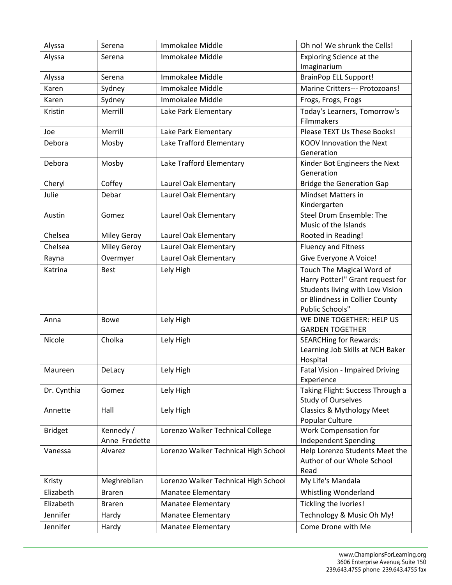| Alyssa         | Serena                     | Immokalee Middle                     | Oh no! We shrunk the Cells!                                                                                                                           |
|----------------|----------------------------|--------------------------------------|-------------------------------------------------------------------------------------------------------------------------------------------------------|
| Alyssa         | Serena                     | Immokalee Middle                     | <b>Exploring Science at the</b>                                                                                                                       |
|                |                            |                                      | Imaginarium                                                                                                                                           |
| Alyssa         | Serena                     | Immokalee Middle                     | <b>BrainPop ELL Support!</b>                                                                                                                          |
| Karen          | Sydney                     | Immokalee Middle                     | Marine Critters--- Protozoans!                                                                                                                        |
| Karen          | Sydney                     | Immokalee Middle                     | Frogs, Frogs, Frogs                                                                                                                                   |
| Kristin        | Merrill                    | Lake Park Elementary                 | Today's Learners, Tomorrow's<br>Filmmakers                                                                                                            |
| Joe            | Merrill                    | Lake Park Elementary                 | Please TEXT Us These Books!                                                                                                                           |
| Debora         | Mosby                      | Lake Trafford Elementary             | <b>KOOV Innovation the Next</b><br>Generation                                                                                                         |
| Debora         | Mosby                      | Lake Trafford Elementary             | Kinder Bot Engineers the Next<br>Generation                                                                                                           |
| Cheryl         | Coffey                     | Laurel Oak Elementary                | <b>Bridge the Generation Gap</b>                                                                                                                      |
| Julie          | Debar                      | Laurel Oak Elementary                | Mindset Matters in<br>Kindergarten                                                                                                                    |
| Austin         | Gomez                      | Laurel Oak Elementary                | Steel Drum Ensemble: The<br>Music of the Islands                                                                                                      |
| Chelsea        | <b>Miley Geroy</b>         | Laurel Oak Elementary                | Rooted in Reading!                                                                                                                                    |
| Chelsea        | <b>Miley Geroy</b>         | Laurel Oak Elementary                | <b>Fluency and Fitness</b>                                                                                                                            |
| Rayna          | Overmyer                   | Laurel Oak Elementary                | Give Everyone A Voice!                                                                                                                                |
| Katrina        | <b>Best</b>                | Lely High                            | Touch The Magical Word of<br>Harry Potter!" Grant request for<br>Students living with Low Vision<br>or Blindness in Collier County<br>Public Schools" |
| Anna           | <b>Bowe</b>                | Lely High                            | WE DINE TOGETHER: HELP US<br><b>GARDEN TOGETHER</b>                                                                                                   |
| Nicole         | Cholka                     | Lely High                            | <b>SEARCHing for Rewards:</b><br>Learning Job Skills at NCH Baker<br>Hospital                                                                         |
| Maureen        | DeLacy                     | Lely High                            | Fatal Vision - Impaired Driving<br>Experience                                                                                                         |
| Dr. Cynthia    | Gomez                      | Lely High                            | Taking Flight: Success Through a<br><b>Study of Ourselves</b>                                                                                         |
| Annette        | Hall                       | Lely High                            | Classics & Mythology Meet<br>Popular Culture                                                                                                          |
| <b>Bridget</b> | Kennedy /<br>Anne Fredette | Lorenzo Walker Technical College     | Work Compensation for<br>Independent Spending                                                                                                         |
| Vanessa        | Alvarez                    | Lorenzo Walker Technical High School | Help Lorenzo Students Meet the<br>Author of our Whole School<br>Read                                                                                  |
| Kristy         | Meghreblian                | Lorenzo Walker Technical High School | My Life's Mandala                                                                                                                                     |
| Elizabeth      | <b>Braren</b>              | <b>Manatee Elementary</b>            | Whistling Wonderland                                                                                                                                  |
| Elizabeth      | <b>Braren</b>              | Manatee Elementary                   | Tickling the Ivories!                                                                                                                                 |
| Jennifer       | Hardy                      | Manatee Elementary                   | Technology & Music Oh My!                                                                                                                             |
| Jennifer       | Hardy                      | <b>Manatee Elementary</b>            | Come Drone with Me                                                                                                                                    |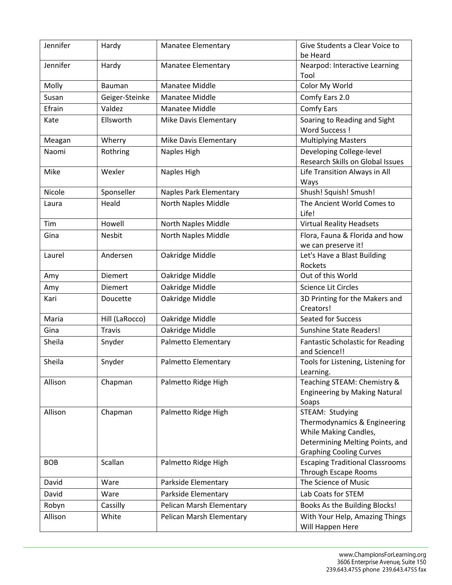| Jennifer   | Hardy          | <b>Manatee Elementary</b> | Give Students a Clear Voice to<br>be Heard                                                                                                    |
|------------|----------------|---------------------------|-----------------------------------------------------------------------------------------------------------------------------------------------|
| Jennifer   | Hardy          | <b>Manatee Elementary</b> | Nearpod: Interactive Learning<br>Tool                                                                                                         |
| Molly      | Bauman         | Manatee Middle            | Color My World                                                                                                                                |
| Susan      | Geiger-Steinke | Manatee Middle            | Comfy Ears 2.0                                                                                                                                |
| Efrain     | Valdez         | Manatee Middle            | <b>Comfy Ears</b>                                                                                                                             |
| Kate       | Ellsworth      | Mike Davis Elementary     | Soaring to Reading and Sight<br><b>Word Success!</b>                                                                                          |
| Meagan     | Wherry         | Mike Davis Elementary     | <b>Multiplying Masters</b>                                                                                                                    |
| Naomi      | Rothring       | Naples High               | Developing College-level<br>Research Skills on Global Issues                                                                                  |
| Mike       | Wexler         | Naples High               | Life Transition Always in All<br>Ways                                                                                                         |
| Nicole     | Sponseller     | Naples Park Elementary    | Shush! Squish! Smush!                                                                                                                         |
| Laura      | Heald          | North Naples Middle       | The Ancient World Comes to<br>Life!                                                                                                           |
| Tim        | Howell         | North Naples Middle       | <b>Virtual Reality Headsets</b>                                                                                                               |
| Gina       | Nesbit         | North Naples Middle       | Flora, Fauna & Florida and how<br>we can preserve it!                                                                                         |
| Laurel     | Andersen       | Oakridge Middle           | Let's Have a Blast Building<br>Rockets                                                                                                        |
| Amy        | <b>Diemert</b> | Oakridge Middle           | Out of this World                                                                                                                             |
| Amy        | <b>Diemert</b> | Oakridge Middle           | Science Lit Circles                                                                                                                           |
| Kari       | Doucette       | Oakridge Middle           | 3D Printing for the Makers and<br>Creators!                                                                                                   |
| Maria      | Hill (LaRocco) | Oakridge Middle           | Seated for Success                                                                                                                            |
| Gina       | <b>Travis</b>  | Oakridge Middle           | <b>Sunshine State Readers!</b>                                                                                                                |
| Sheila     | Snyder         | Palmetto Elementary       | <b>Fantastic Scholastic for Reading</b><br>and Science!!                                                                                      |
| Sheila     | Snyder         | Palmetto Elementary       | Tools for Listening, Listening for<br>Learning.                                                                                               |
| Allison    | Chapman        | Palmetto Ridge High       | Teaching STEAM: Chemistry &<br><b>Engineering by Making Natural</b><br>Soaps                                                                  |
| Allison    | Chapman        | Palmetto Ridge High       | STEAM: Studying<br>Thermodynamics & Engineering<br>While Making Candles,<br>Determining Melting Points, and<br><b>Graphing Cooling Curves</b> |
| <b>BOB</b> | Scallan        | Palmetto Ridge High       | <b>Escaping Traditional Classrooms</b><br>Through Escape Rooms                                                                                |
| David      | Ware           | Parkside Elementary       | The Science of Music                                                                                                                          |
| David      | Ware           | Parkside Elementary       | Lab Coats for STEM                                                                                                                            |
| Robyn      | Cassilly       | Pelican Marsh Elementary  | Books As the Building Blocks!                                                                                                                 |
| Allison    | White          | Pelican Marsh Elementary  | With Your Help, Amazing Things<br>Will Happen Here                                                                                            |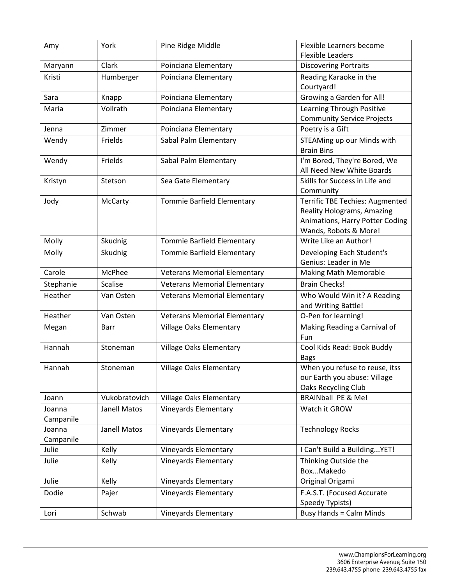| Amy                 | York                | Pine Ridge Middle                   | Flexible Learners become<br><b>Flexible Leaders</b>                                                                                     |
|---------------------|---------------------|-------------------------------------|-----------------------------------------------------------------------------------------------------------------------------------------|
| Maryann             | Clark               | Poinciana Elementary                | <b>Discovering Portraits</b>                                                                                                            |
| Kristi              | Humberger           | Poinciana Elementary                | Reading Karaoke in the<br>Courtyard!                                                                                                    |
| Sara                | Knapp               | Poinciana Elementary                | Growing a Garden for All!                                                                                                               |
| Maria               | Vollrath            | Poinciana Elementary                | Learning Through Positive<br><b>Community Service Projects</b>                                                                          |
| Jenna               | Zimmer              | Poinciana Elementary                | Poetry is a Gift                                                                                                                        |
| Wendy               | Frields             | Sabal Palm Elementary               | STEAMing up our Minds with<br><b>Brain Bins</b>                                                                                         |
| Wendy               | Frields             | Sabal Palm Elementary               | I'm Bored, They're Bored, We<br>All Need New White Boards                                                                               |
| Kristyn             | Stetson             | Sea Gate Elementary                 | Skills for Success in Life and<br>Community                                                                                             |
| Jody                | McCarty             | Tommie Barfield Elementary          | <b>Terrific TBE Techies: Augmented</b><br><b>Reality Holograms, Amazing</b><br>Animations, Harry Potter Coding<br>Wands, Robots & More! |
| Molly               | Skudnig             | Tommie Barfield Elementary          | Write Like an Author!                                                                                                                   |
| Molly               | Skudnig             | Tommie Barfield Elementary          | Developing Each Student's<br>Genius: Leader in Me                                                                                       |
| Carole              | McPhee              | <b>Veterans Memorial Elementary</b> | <b>Making Math Memorable</b>                                                                                                            |
| Stephanie           | <b>Scalise</b>      | <b>Veterans Memorial Elementary</b> | <b>Brain Checks!</b>                                                                                                                    |
| Heather             | Van Osten           | <b>Veterans Memorial Elementary</b> | Who Would Win it? A Reading<br>and Writing Battle!                                                                                      |
| Heather             | Van Osten           | <b>Veterans Memorial Elementary</b> | O-Pen for learning!                                                                                                                     |
| Megan               | <b>Barr</b>         | Village Oaks Elementary             | Making Reading a Carnival of<br>Fun                                                                                                     |
| Hannah              | Stoneman            | Village Oaks Elementary             | Cool Kids Read: Book Buddy<br><b>Bags</b>                                                                                               |
| Hannah              | Stoneman            | Village Oaks Elementary             | When you refuse to reuse, itss<br>our Earth you abuse: Village<br>Oaks Recycling Club                                                   |
| Joann               | Vukobratovich       | Village Oaks Elementary             | <b>BRAINball PE &amp; Me!</b>                                                                                                           |
| Joanna<br>Campanile | <b>Janell Matos</b> | <b>Vineyards Elementary</b>         | Watch it GROW                                                                                                                           |
| Joanna<br>Campanile | Janell Matos        | <b>Vineyards Elementary</b>         | <b>Technology Rocks</b>                                                                                                                 |
| Julie               | Kelly               | <b>Vineyards Elementary</b>         | I Can't Build a Building YET!                                                                                                           |
| Julie               | Kelly               | <b>Vineyards Elementary</b>         | Thinking Outside the<br>BoxMakedo                                                                                                       |
| Julie               | Kelly               | <b>Vineyards Elementary</b>         | Original Origami                                                                                                                        |
| Dodie               | Pajer               | <b>Vineyards Elementary</b>         | F.A.S.T. (Focused Accurate<br>Speedy Typists)                                                                                           |
| Lori                | Schwab              | <b>Vineyards Elementary</b>         | <b>Busy Hands = Calm Minds</b>                                                                                                          |